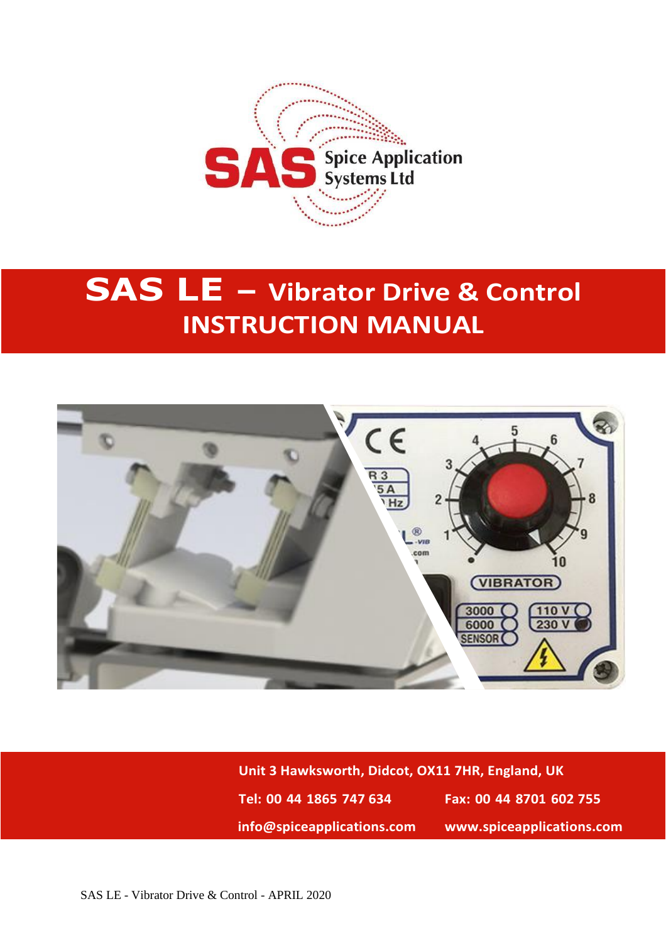

# **SAS LE – Vibrator Drive & Control INSTRUCTION MANUAL**



**Unit 3 Hawksworth, Didcot, OX11 7HR, England, UK Tel: 00 44 1865 747 634 Fax: 00 44 8701 602 755 info@spiceapplications.com www.spiceapplications.com**

SAS LE - Vibrator Drive & Control - APRIL 2020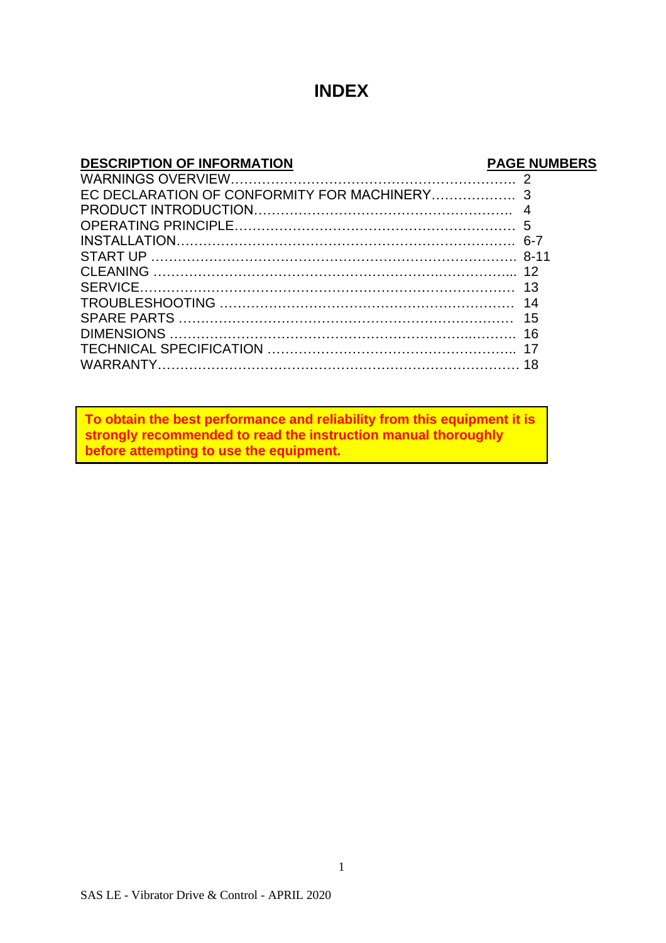#### **INDEX**

#### **DESCRIPTION OF INFORMATION PAGE NUMBERS**

**To obtain the best performance and reliability from this equipment it is strongly recommended to read the instruction manual thoroughly before attempting to use the equipment.**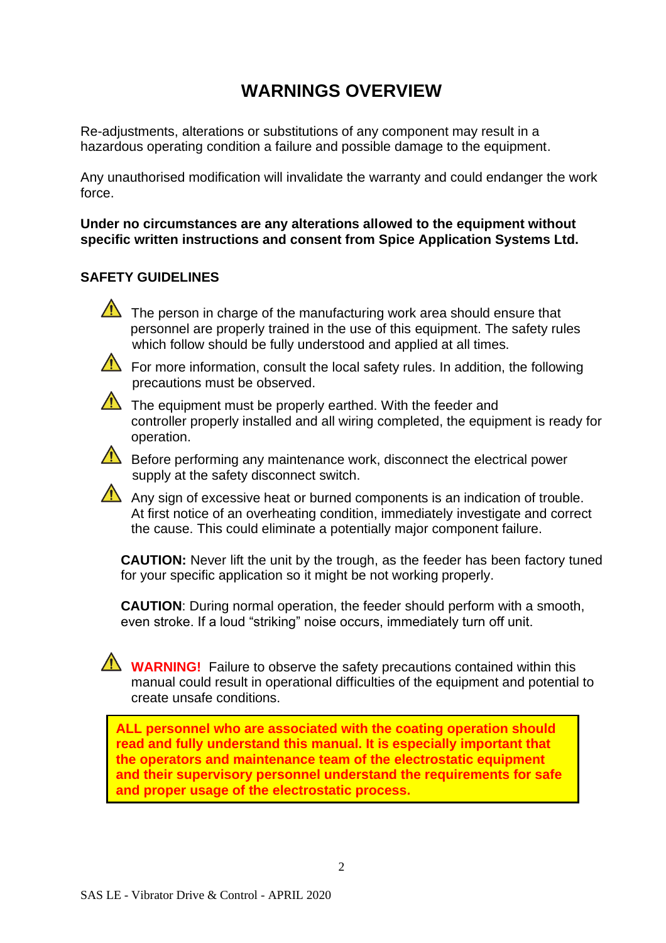## **WARNINGS OVERVIEW**

Re-adjustments, alterations or substitutions of any component may result in a hazardous operating condition a failure and possible damage to the equipment.

Any unauthorised modification will invalidate the warranty and could endanger the work force.

**Under no circumstances are any alterations allowed to the equipment without specific written instructions and consent from Spice Application Systems Ltd.**

#### **SAFETY GUIDELINES**

The person in charge of the manufacturing work area should ensure that personnel are properly trained in the use of this equipment. The safety rules which follow should be fully understood and applied at all times.

For more information, consult the local safety rules. In addition, the following precautions must be observed.

 $\sqrt{!}$  The equipment must be properly earthed. With the feeder and controller properly installed and all wiring completed, the equipment is ready for operation.

 $\sqrt{\frac{1}{\sqrt{1}}}$  Before performing any maintenance work, disconnect the electrical power supply at the safety disconnect switch.

Any sign of excessive heat or burned components is an indication of trouble. At first notice of an overheating condition, immediately investigate and correct the cause. This could eliminate a potentially major component failure.

**CAUTION:** Never lift the unit by the trough, as the feeder has been factory tuned for your specific application so it might be not working properly.

**CAUTION**: During normal operation, the feeder should perform with a smooth, even stroke. If a loud "striking" noise occurs, immediately turn off unit.

**WARNING!** Failure to observe the safety precautions contained within this manual could result in operational difficulties of the equipment and potential to create unsafe conditions.

**ALL personnel who are associated with the coating operation should read and fully understand this manual. It is especially important that the operators and maintenance team of the electrostatic equipment and their supervisory personnel understand the requirements for safe and proper usage of the electrostatic process.**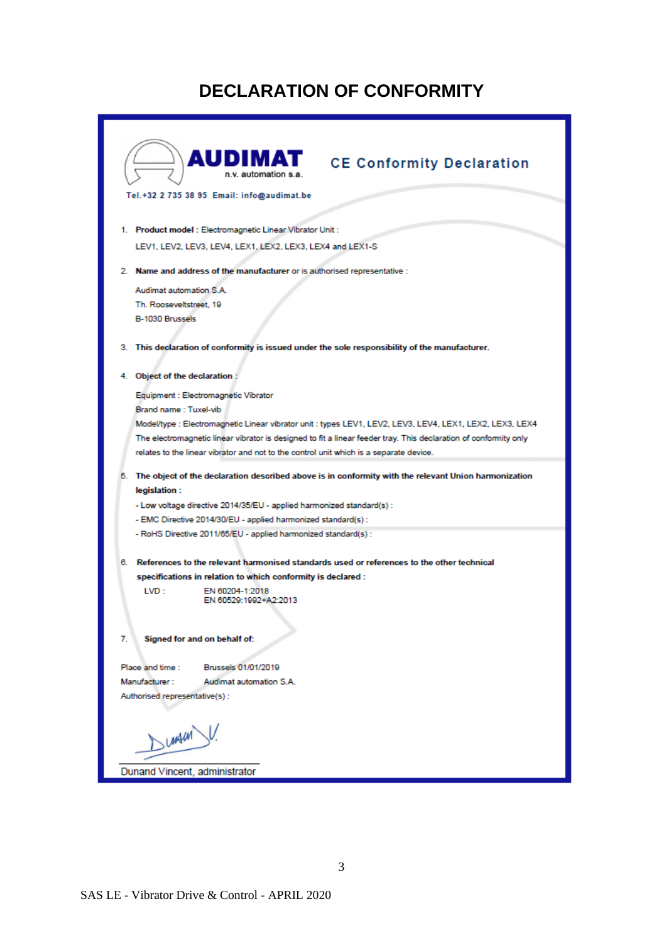## **DECLARATION OF CONFORMITY**

| <b>AUDIMAT</b><br>n.v. automation s.a.                                                                           | <b>CE Conformity Declaration</b> |
|------------------------------------------------------------------------------------------------------------------|----------------------------------|
| Tel.+32 2 735 38 95 Email: info@audimat.be                                                                       |                                  |
|                                                                                                                  |                                  |
|                                                                                                                  |                                  |
| 1. Product model: Electromagnetic Linear Vibrator Unit:                                                          |                                  |
| LEV1, LEV2, LEV3, LEV4, LEX1, LEX2, LEX3, LEX4 and LEX1-S                                                        |                                  |
| 2. Name and address of the manufacturer or is authorised representative :                                        |                                  |
|                                                                                                                  |                                  |
| Audimat automation S.A.                                                                                          |                                  |
| Th. Rooseveltstreet, 19                                                                                          |                                  |
| B-1030 Brussels                                                                                                  |                                  |
|                                                                                                                  |                                  |
| 3. This declaration of conformity is issued under the sole responsibility of the manufacturer.                   |                                  |
|                                                                                                                  |                                  |
| 4. Object of the declaration :                                                                                   |                                  |
| Equipment : Electromagnetic Vibrator                                                                             |                                  |
| Brand name: Tuxel-vib                                                                                            |                                  |
| Model/type : Electromagnetic Linear vibrator unit : types LEV1, LEV2, LEV3, LEV4, LEX1, LEX2, LEX3, LEX4         |                                  |
| The electromagnetic linear vibrator is designed to fit a linear feeder tray. This declaration of conformity only |                                  |
| relates to the linear vibrator and not to the control unit which is a separate device.                           |                                  |
|                                                                                                                  |                                  |
| 5. The object of the declaration described above is in conformity with the relevant Union harmonization          |                                  |
| legislation :                                                                                                    |                                  |
| - Low voltage directive 2014/35/EU - applied harmonized standard(s) :                                            |                                  |
| - EMC Directive 2014/30/EU - applied harmonized standard(s) :                                                    |                                  |
| - RoHS Directive 2011/65/EU - applied harmonized standard(s) :                                                   |                                  |
|                                                                                                                  |                                  |
| 6. References to the relevant harmonised standards used or references to the other technical                     |                                  |
| specifications in relation to which conformity is declared :                                                     |                                  |
| LVD:<br>EN 60204-1:2018                                                                                          |                                  |
| EN 60529:1992+A2:2013                                                                                            |                                  |
|                                                                                                                  |                                  |
|                                                                                                                  |                                  |
| 7.<br>Signed for and on behalf of:                                                                               |                                  |
| Brussels 01/01/2019<br>Place and time :                                                                          |                                  |
| Manufacturer:<br>Audimat automation S.A.                                                                         |                                  |
| Authorised representative(s):                                                                                    |                                  |
|                                                                                                                  |                                  |
|                                                                                                                  |                                  |
| <b>UMAIN</b>                                                                                                     |                                  |
|                                                                                                                  |                                  |
| Dunand Vincent, administrator                                                                                    |                                  |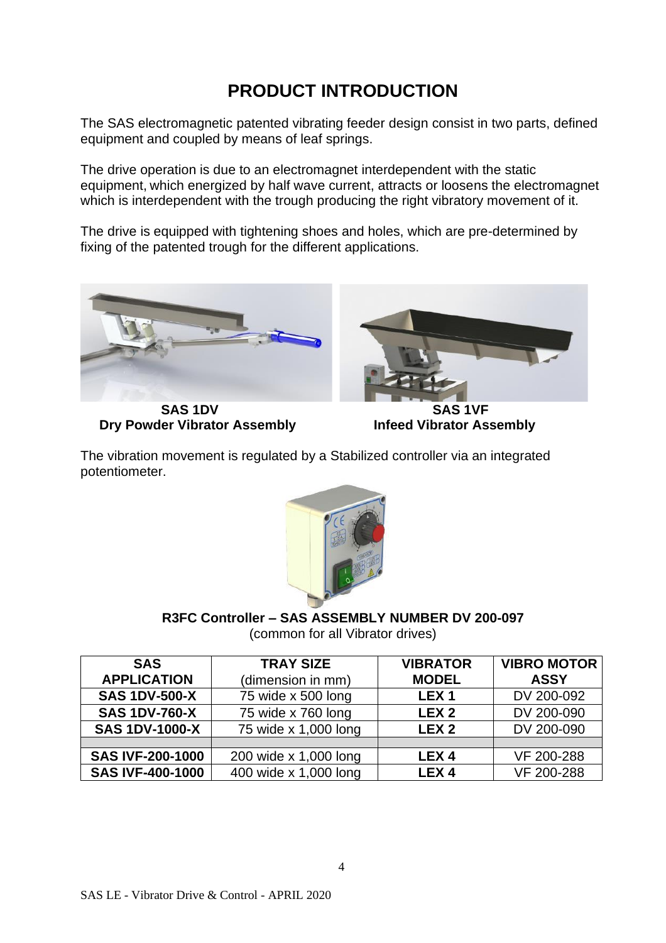## **PRODUCT INTRODUCTION**

The SAS electromagnetic patented vibrating feeder design consist in two parts, defined equipment and coupled by means of leaf springs.

The drive operation is due to an electromagnet interdependent with the static equipment, which energized by half wave current, attracts or loosens the electromagnet which is interdependent with the trough producing the right vibratory movement of it.

The drive is equipped with tightening shoes and holes, which are pre-determined by fixing of the patented trough for the different applications.





SAS 1DV SAS 1VF **Dry Powder Vibrator Assembly Infeed Vibrator Assembly** 

The vibration movement is regulated by a Stabilized controller via an integrated potentiometer.



**R3FC Controller – SAS ASSEMBLY NUMBER DV 200-097**

(common for all Vibrator drives)

| <b>SAS</b>              | <b>TRAY SIZE</b>      | <b>VIBRATOR</b>  | <b>VIBRO MOTOR</b> |
|-------------------------|-----------------------|------------------|--------------------|
| <b>APPLICATION</b>      | (dimension in mm)     | <b>MODEL</b>     | <b>ASSY</b>        |
| <b>SAS 1DV-500-X</b>    | 75 wide x 500 long    | LEX <sub>1</sub> | DV 200-092         |
| <b>SAS 1DV-760-X</b>    | 75 wide x 760 long    | LEX <sub>2</sub> | DV 200-090         |
| <b>SAS 1DV-1000-X</b>   | 75 wide x 1,000 long  | LEX <sub>2</sub> | DV 200-090         |
|                         |                       |                  |                    |
| <b>SAS IVF-200-1000</b> | 200 wide x 1,000 long | LEX <sub>4</sub> | VF 200-288         |
| <b>SAS IVF-400-1000</b> | 400 wide x 1,000 long | LEX <sub>4</sub> | VF 200-288         |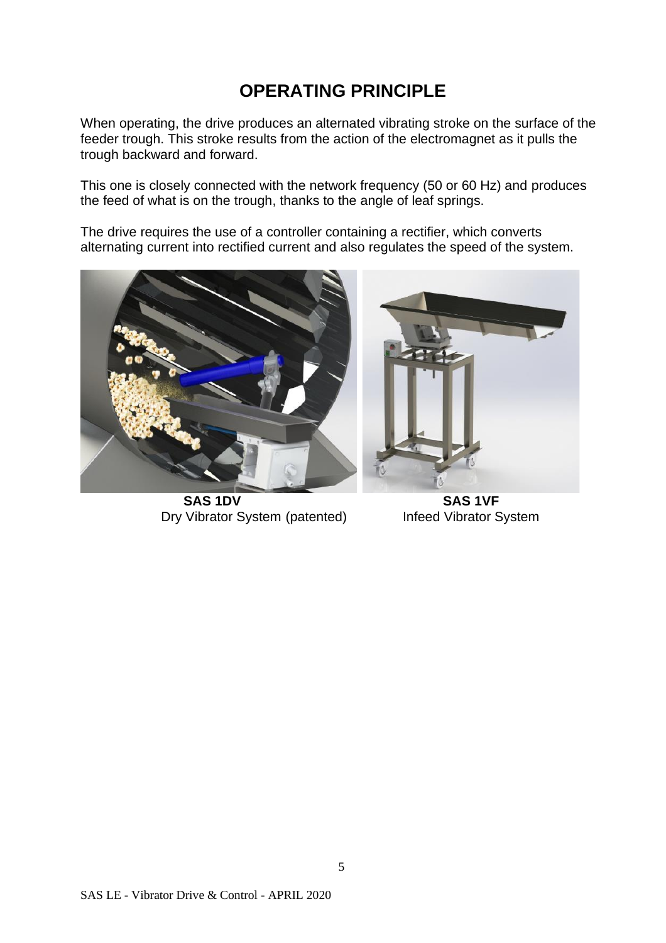## **OPERATING PRINCIPLE**

When operating, the drive produces an alternated vibrating stroke on the surface of the feeder trough. This stroke results from the action of the electromagnet as it pulls the trough backward and forward.

This one is closely connected with the network frequency (50 or 60 Hz) and produces the feed of what is on the trough, thanks to the angle of leaf springs.

The drive requires the use of a controller containing a rectifier, which converts alternating current into rectified current and also regulates the speed of the system.



 **SAS 1DV SAS 1VF** Dry Vibrator System (patented) Infeed Vibrator System

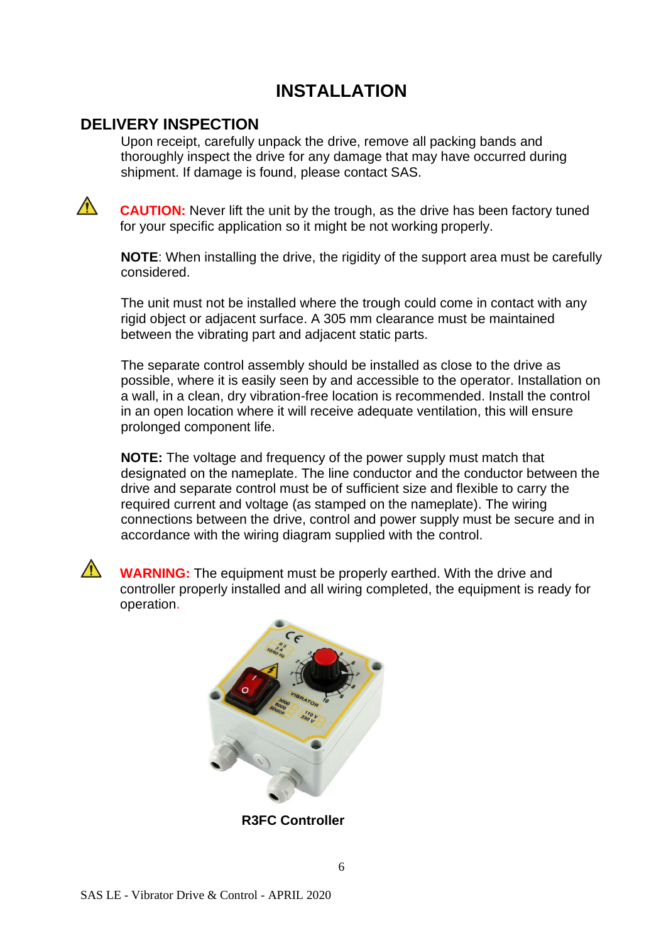#### **INSTALLATION**

#### **DELIVERY INSPECTION**

Upon receipt, carefully unpack the drive, remove all packing bands and thoroughly inspect the drive for any damage that may have occurred during shipment. If damage is found, please contact SAS.

 $\bigwedge$ 

**CAUTION:** Never lift the unit by the trough, as the drive has been factory tuned for your specific application so it might be not working properly.

**NOTE**: When installing the drive, the rigidity of the support area must be carefully considered.

The unit must not be installed where the trough could come in contact with any rigid object or adjacent surface. A 305 mm clearance must be maintained between the vibrating part and adjacent static parts.

The separate control assembly should be installed as close to the drive as possible, where it is easily seen by and accessible to the operator. Installation on a wall, in a clean, dry vibration-free location is recommended. Install the control in an open location where it will receive adequate ventilation, this will ensure prolonged component life.

**NOTE:** The voltage and frequency of the power supply must match that designated on the nameplate. The line conductor and the conductor between the drive and separate control must be of sufficient size and flexible to carry the required current and voltage (as stamped on the nameplate). The wiring connections between the drive, control and power supply must be secure and in accordance with the wiring diagram supplied with the control.

**WARNING:** The equipment must be properly earthed. With the drive and controller properly installed and all wiring completed, the equipment is ready for operation.



**R3FC Controller**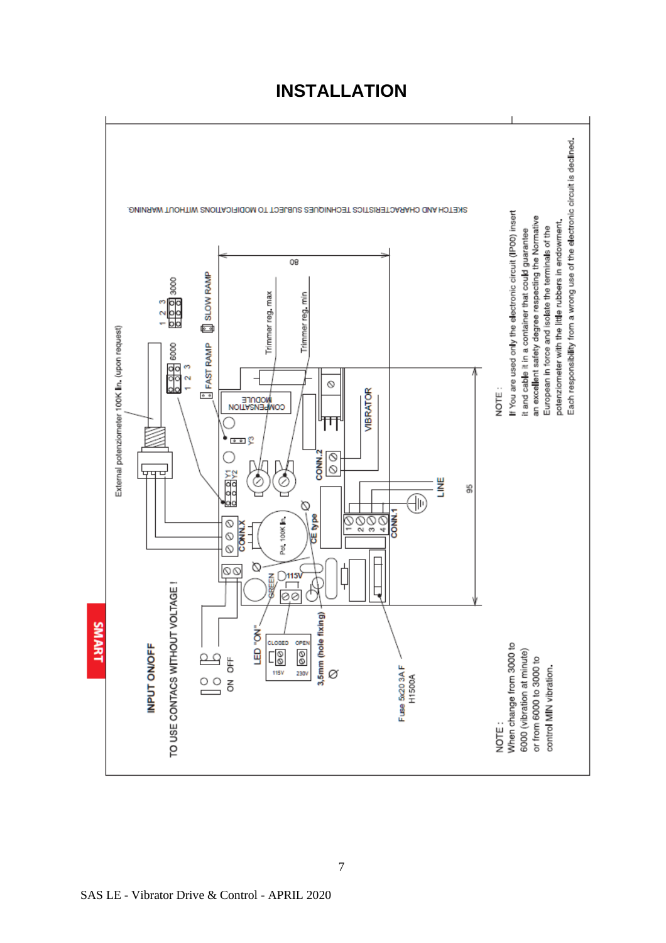#### **INSTALLATION**

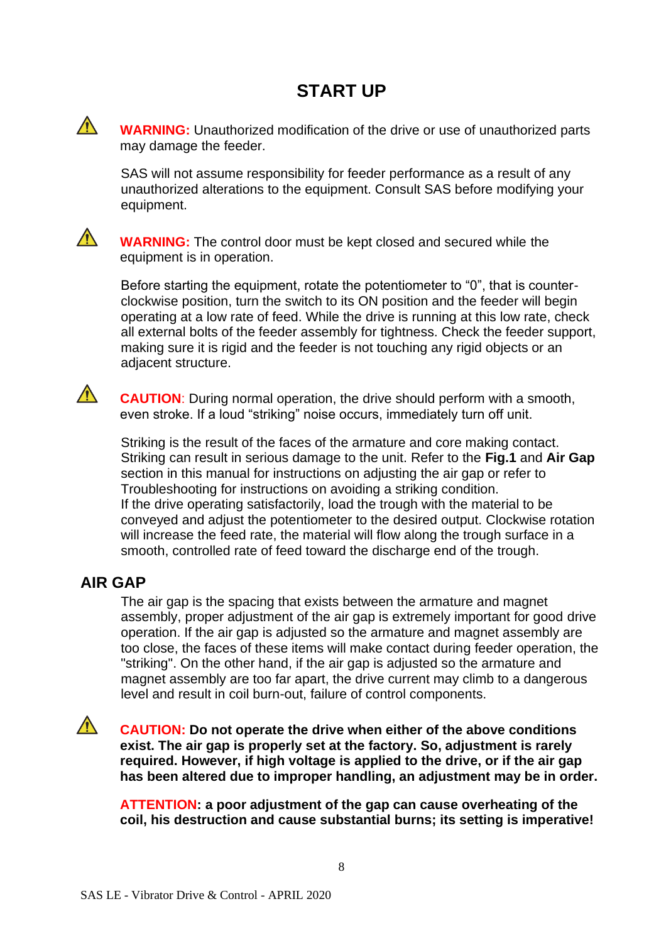**WARNING:** Unauthorized modification of the drive or use of unauthorized parts may damage the feeder.

SAS will not assume responsibility for feeder performance as a result of any unauthorized alterations to the equipment. Consult SAS before modifying your equipment.



 $\bigwedge$ 

 $\bigwedge$ 

**WARNING:** The control door must be kept closed and secured while the equipment is in operation.

Before starting the equipment, rotate the potentiometer to "0", that is counterclockwise position, turn the switch to its ON position and the feeder will begin operating at a low rate of feed. While the drive is running at this low rate, check all external bolts of the feeder assembly for tightness. Check the feeder support, making sure it is rigid and the feeder is not touching any rigid objects or an adjacent structure.

**CAUTION**: During normal operation, the drive should perform with a smooth, even stroke. If a loud "striking" noise occurs, immediately turn off unit.

Striking is the result of the faces of the armature and core making contact. Striking can result in serious damage to the unit. Refer to the **Fig.1** and **Air Gap** section in this manual for instructions on adjusting the air gap or refer to Troubleshooting for instructions on avoiding a striking condition. If the drive operating satisfactorily, load the trough with the material to be conveyed and adjust the potentiometer to the desired output. Clockwise rotation will increase the feed rate, the material will flow along the trough surface in a smooth, controlled rate of feed toward the discharge end of the trough.

#### **AIR GAP**

The air gap is the spacing that exists between the armature and magnet assembly, proper adjustment of the air gap is extremely important for good drive operation. If the air gap is adjusted so the armature and magnet assembly are too close, the faces of these items will make contact during feeder operation, the "striking". On the other hand, if the air gap is adjusted so the armature and magnet assembly are too far apart, the drive current may climb to a dangerous level and result in coil burn-out, failure of control components.

 $\bigwedge$ 

**CAUTION: Do not operate the drive when either of the above conditions exist. The air gap is properly set at the factory. So, adjustment is rarely required. However, if high voltage is applied to the drive, or if the air gap has been altered due to improper handling, an adjustment may be in order.**

**ATTENTION: a poor adjustment of the gap can cause overheating of the coil, his destruction and cause substantial burns; its setting is imperative!**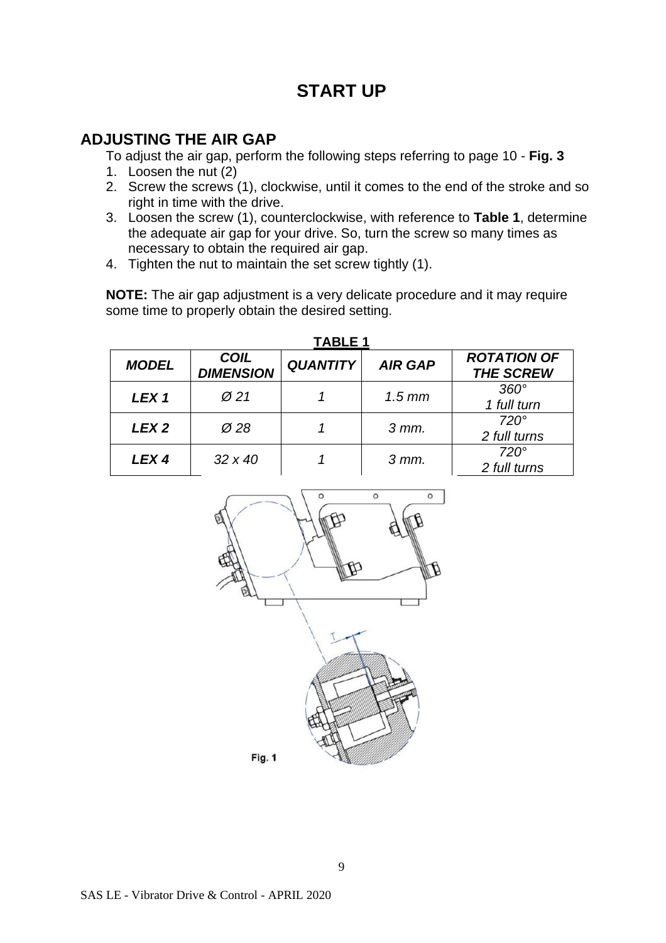#### **ADJUSTING THE AIR GAP**

To adjust the air gap, perform the following steps referring to page 10 - **Fig. 3**

- 1. Loosen the nut (2)
- 2. Screw the screws (1), clockwise, until it comes to the end of the stroke and so right in time with the drive.
- 3. Loosen the screw (1), counterclockwise, with reference to **Table 1**, determine the adequate air gap for your drive. So, turn the screw so many times as necessary to obtain the required air gap.
- 4. Tighten the nut to maintain the set screw tightly (1).

**NOTE:** The air gap adjustment is a very delicate procedure and it may require some time to properly obtain the desired setting.

| <b>MODEL</b>     | <b>COIL</b><br><b>DIMENSION</b> | <b>QUANTITY</b> | <b>AIR GAP</b>     | <b>ROTATION OF</b><br><b>THE SCREW</b> |
|------------------|---------------------------------|-----------------|--------------------|----------------------------------------|
| LEX <sub>1</sub> | $\varnothing$ 21                |                 | $1.5 \, \text{mm}$ | $360^\circ$<br>1 full turn             |
| LEX <sub>2</sub> | $\varnothing$ 28                |                 | $3$ mm.            | $720^\circ$<br>2 full turns            |
| LEX <sub>4</sub> | $32 \times 40$                  |                 | $3$ mm.            | $720^\circ$<br>2 full turns            |



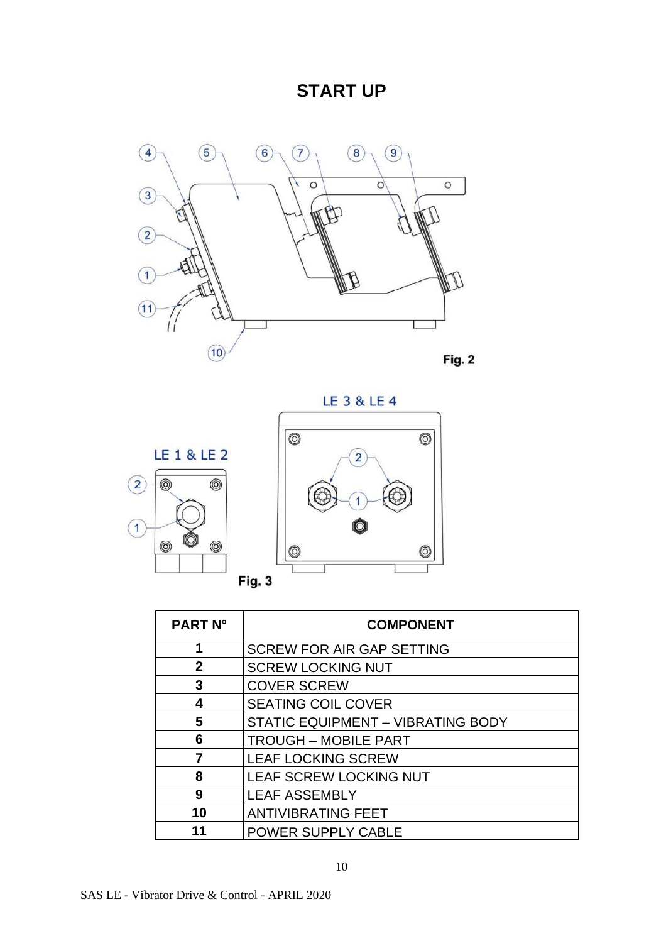



| <b>PART N°</b> | <b>COMPONENT</b>                         |
|----------------|------------------------------------------|
| 1              | <b>SCREW FOR AIR GAP SETTING</b>         |
| $\mathbf{2}$   | <b>SCREW LOCKING NUT</b>                 |
| 3              | <b>COVER SCREW</b>                       |
| 4              | <b>SEATING COIL COVER</b>                |
| 5              | <b>STATIC EQUIPMENT - VIBRATING BODY</b> |
| 6              | <b>TROUGH - MOBILE PART</b>              |
| 7              | <b>LEAF LOCKING SCREW</b>                |
| 8              | LEAF SCREW LOCKING NUT                   |
| 9              | <b>LEAF ASSEMBLY</b>                     |
| 10             | <b>ANTIVIBRATING FEET</b>                |
|                | POWER SUPPLY CABLE                       |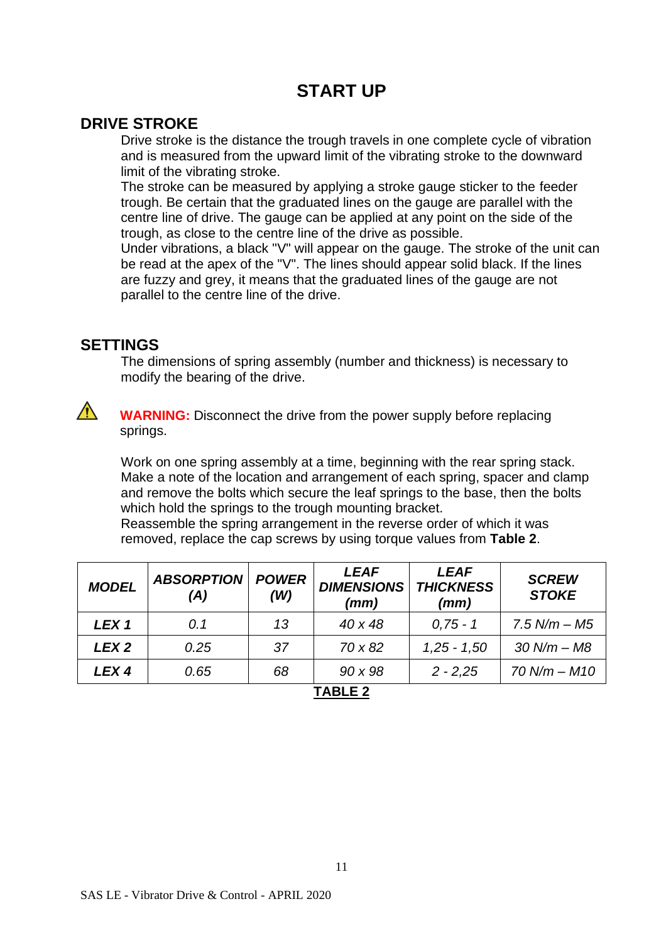#### **DRIVE STROKE**

Drive stroke is the distance the trough travels in one complete cycle of vibration and is measured from the upward limit of the vibrating stroke to the downward limit of the vibrating stroke.

The stroke can be measured by applying a stroke gauge sticker to the feeder trough. Be certain that the graduated lines on the gauge are parallel with the centre line of drive. The gauge can be applied at any point on the side of the trough, as close to the centre line of the drive as possible.

Under vibrations, a black "V" will appear on the gauge. The stroke of the unit can be read at the apex of the "V". The lines should appear solid black. If the lines are fuzzy and grey, it means that the graduated lines of the gauge are not parallel to the centre line of the drive.

#### **SETTINGS**

The dimensions of spring assembly (number and thickness) is necessary to modify the bearing of the drive.



**WARNING:** Disconnect the drive from the power supply before replacing springs.

Work on one spring assembly at a time, beginning with the rear spring stack. Make a note of the location and arrangement of each spring, spacer and clamp and remove the bolts which secure the leaf springs to the base, then the bolts which hold the springs to the trough mounting bracket.

Reassemble the spring arrangement in the reverse order of which it was removed, replace the cap screws by using torque values from **Table 2**.

| <b>MODEL</b>     | <b>ABSORPTION</b><br>(A) | <b>POWER</b><br>(W) | <b>LEAF</b><br><b>DIMENSIONS</b><br>(mm) | <b>LEAF</b><br><b>THICKNESS</b><br>(mm) | <b>SCREW</b><br><b>STOKE</b> |
|------------------|--------------------------|---------------------|------------------------------------------|-----------------------------------------|------------------------------|
| LEX <sub>1</sub> | 0.1                      | 13                  | $40 \times 48$                           | $0.75 - 1$                              | $7.5 N/m - M5$               |
| LEX <sub>2</sub> | 0.25                     | 37                  | 70 x 82                                  | $1,25 - 1,50$                           | $30 N/m - M8$                |
| <b>LEX4</b>      | 0.65                     | 68                  | $90 \times 98$                           | $2 - 2,25$                              | $70 N/m - M10$               |
|                  |                          |                     |                                          |                                         |                              |

**TABLE 2**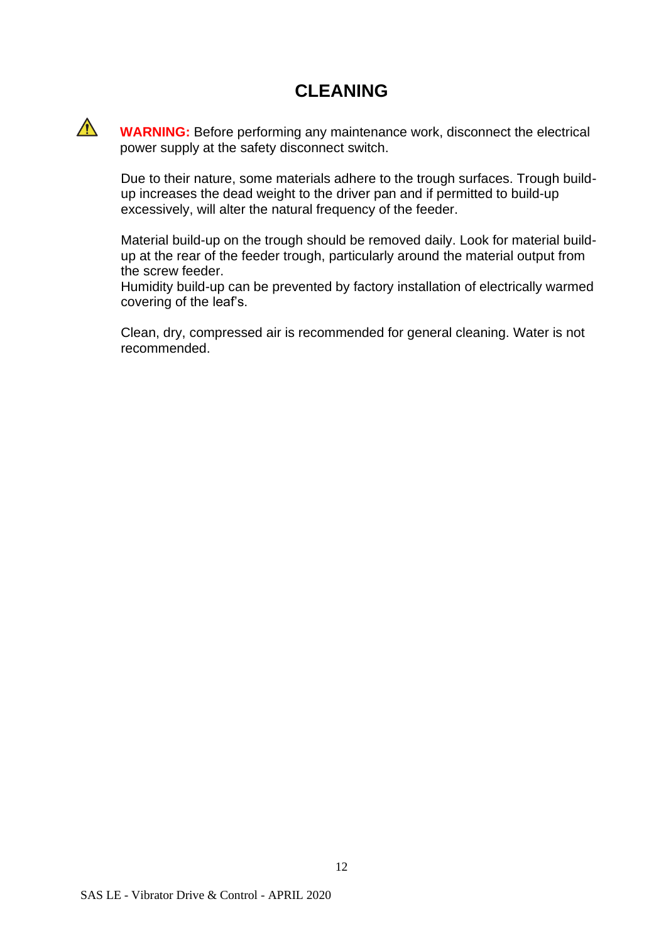#### **CLEANING**

 $\bigwedge$ 

**WARNING:** Before performing any maintenance work, disconnect the electrical power supply at the safety disconnect switch.

Due to their nature, some materials adhere to the trough surfaces. Trough buildup increases the dead weight to the driver pan and if permitted to build-up excessively, will alter the natural frequency of the feeder.

Material build-up on the trough should be removed daily. Look for material buildup at the rear of the feeder trough, particularly around the material output from the screw feeder.

Humidity build-up can be prevented by factory installation of electrically warmed covering of the leaf's.

Clean, dry, compressed air is recommended for general cleaning. Water is not recommended.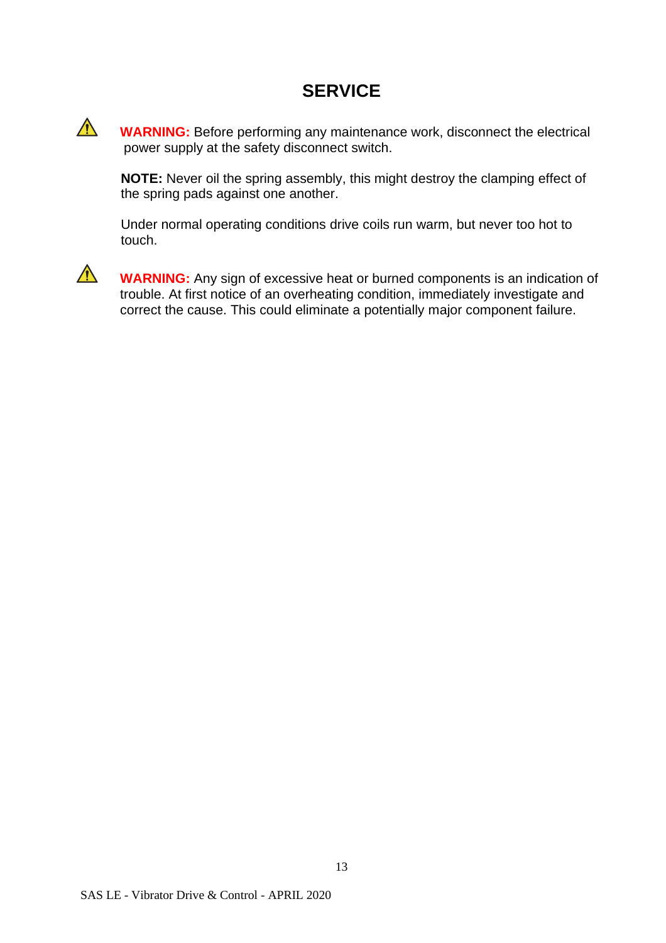#### **SERVICE**

**WARNING:** Before performing any maintenance work, disconnect the electrical power supply at the safety disconnect switch.

**NOTE:** Never oil the spring assembly, this might destroy the clamping effect of the spring pads against one another.

Under normal operating conditions drive coils run warm, but never too hot to touch.



 $\bigwedge$ 

**WARNING:** Any sign of excessive heat or burned components is an indication of trouble. At first notice of an overheating condition, immediately investigate and correct the cause. This could eliminate a potentially major component failure.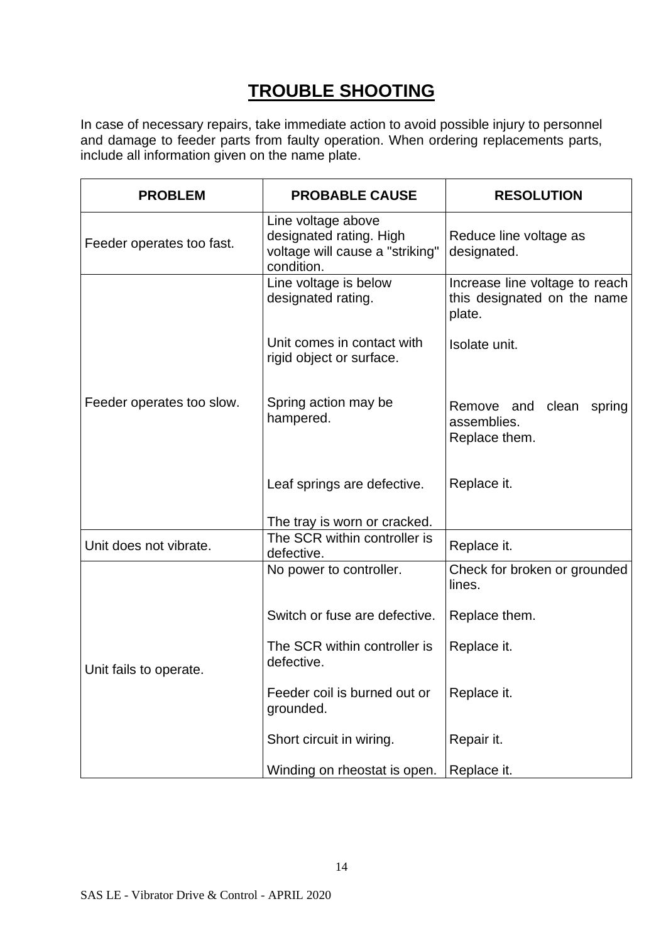## **TROUBLE SHOOTING**

In case of necessary repairs, take immediate action to avoid possible injury to personnel and damage to feeder parts from faulty operation. When ordering replacements parts, include all information given on the name plate.

| <b>PROBLEM</b>            | <b>PROBABLE CAUSE</b>                                                                          | <b>RESOLUTION</b>                                                       |  |
|---------------------------|------------------------------------------------------------------------------------------------|-------------------------------------------------------------------------|--|
| Feeder operates too fast. | Line voltage above<br>designated rating. High<br>voltage will cause a "striking"<br>condition. | Reduce line voltage as<br>designated.                                   |  |
|                           | Line voltage is below<br>designated rating.                                                    | Increase line voltage to reach<br>this designated on the name<br>plate. |  |
|                           | Unit comes in contact with<br>rigid object or surface.                                         | Isolate unit.                                                           |  |
| Feeder operates too slow. | Spring action may be<br>hampered.                                                              | Remove and clean<br>spring<br>assemblies.<br>Replace them.              |  |
|                           | Leaf springs are defective.                                                                    | Replace it.                                                             |  |
|                           | The tray is worn or cracked.                                                                   |                                                                         |  |
| Unit does not vibrate.    | The SCR within controller is<br>defective.                                                     | Replace it.                                                             |  |
|                           | No power to controller.                                                                        | Check for broken or grounded<br>lines.                                  |  |
|                           | Switch or fuse are defective.                                                                  | Replace them.                                                           |  |
| Unit fails to operate.    | The SCR within controller is<br>defective.                                                     | Replace it.                                                             |  |
|                           | Feeder coil is burned out or<br>grounded.                                                      | Replace it.                                                             |  |
|                           | Short circuit in wiring.                                                                       | Repair it.                                                              |  |
|                           | Winding on rheostat is open.                                                                   | Replace it.                                                             |  |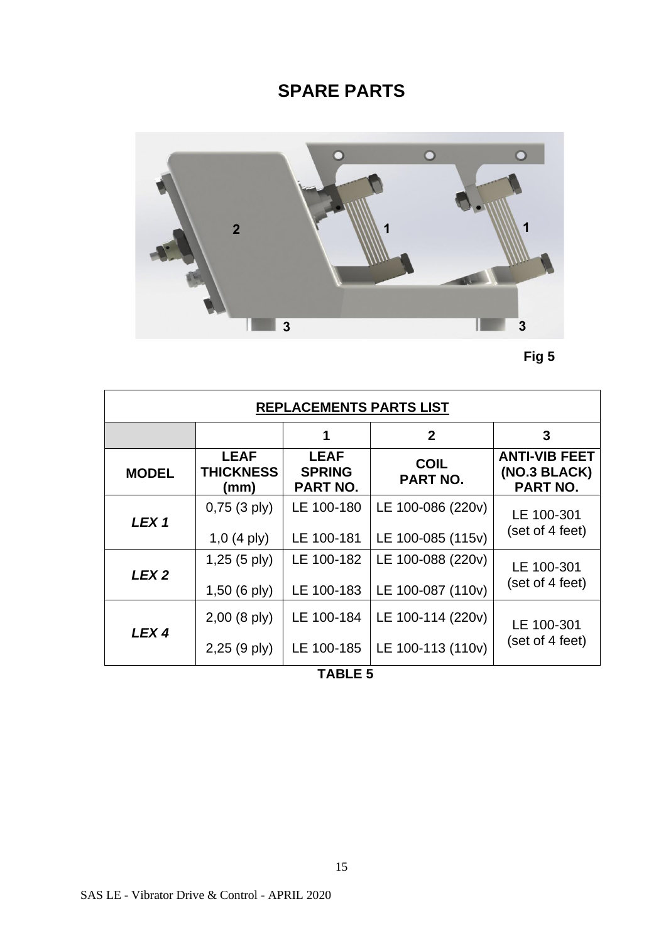## **SPARE PARTS**





| <b>REPLACEMENTS PARTS LIST</b> |                                         |                                          |                         |                                                  |  |
|--------------------------------|-----------------------------------------|------------------------------------------|-------------------------|--------------------------------------------------|--|
|                                |                                         | 1                                        | $\mathbf{2}$            | 3                                                |  |
| <b>MODEL</b>                   | <b>LEAF</b><br><b>THICKNESS</b><br>(mm) | <b>LEAF</b><br><b>SPRING</b><br>PART NO. | <b>COIL</b><br>PART NO. | <b>ANTI-VIB FEET</b><br>(NO.3 BLACK)<br>PART NO. |  |
| LEX <sub>1</sub>               | $0,75$ (3 ply)                          | LE 100-180                               | LE 100-086 (220v)       | LE 100-301                                       |  |
|                                | $1,0$ (4 ply)                           | LE 100-181                               | LE 100-085 (115v)       | (set of 4 feet)                                  |  |
| LEX <sub>2</sub>               | $1,25$ (5 ply)                          | LE 100-182                               | LE 100-088 (220v)       | LE 100-301                                       |  |
|                                | $1,50$ (6 ply)                          | LE 100-183                               | LE 100-087 (110v)       | (set of 4 feet)                                  |  |
| LEX <sub>4</sub>               | $2,00$ (8 ply)                          | LE 100-184                               | LE 100-114 (220v)       | LE 100-301                                       |  |
|                                | $2,25$ (9 ply)                          | LE 100-185                               | LE 100-113 (110v)       | (set of 4 feet)                                  |  |

#### **TABLE 5**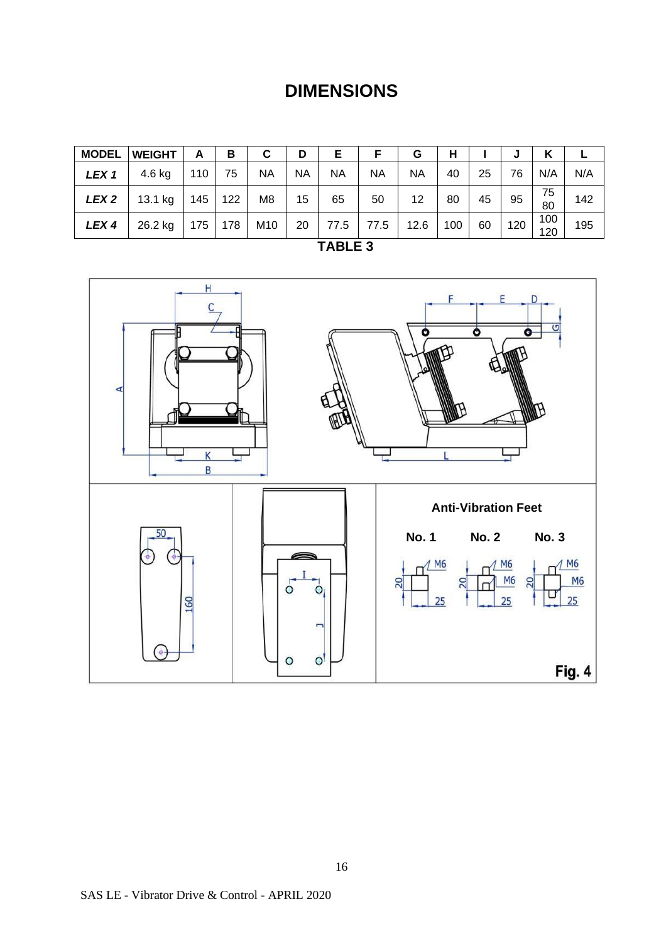## **DIMENSIONS**

| <b>MODEL</b>     | <b>WEIGHT</b> | A   | в   | С              | D         | Е         |           | G    | н   |    | J   | κ          |     |
|------------------|---------------|-----|-----|----------------|-----------|-----------|-----------|------|-----|----|-----|------------|-----|
| LEX <sub>1</sub> | 4.6 kg        | 110 | 75  | <b>NA</b>      | <b>NA</b> | <b>NA</b> | <b>NA</b> | NA   | 40  | 25 | 76  | N/A        | N/A |
| LEX <sub>2</sub> | 13.1 kg       | 145 | 122 | M <sub>8</sub> | 15        | 65        | 50        | 12   | 80  | 45 | 95  | 75<br>80   | 142 |
| LEX <sub>4</sub> | 26.2 kg       | 175 | 178 | M10            | 20        | 77.5      | 77.5      | 12.6 | 100 | 60 | 120 | 100<br>120 | 195 |

| ⊐<br>u.<br> |
|-------------|
|-------------|

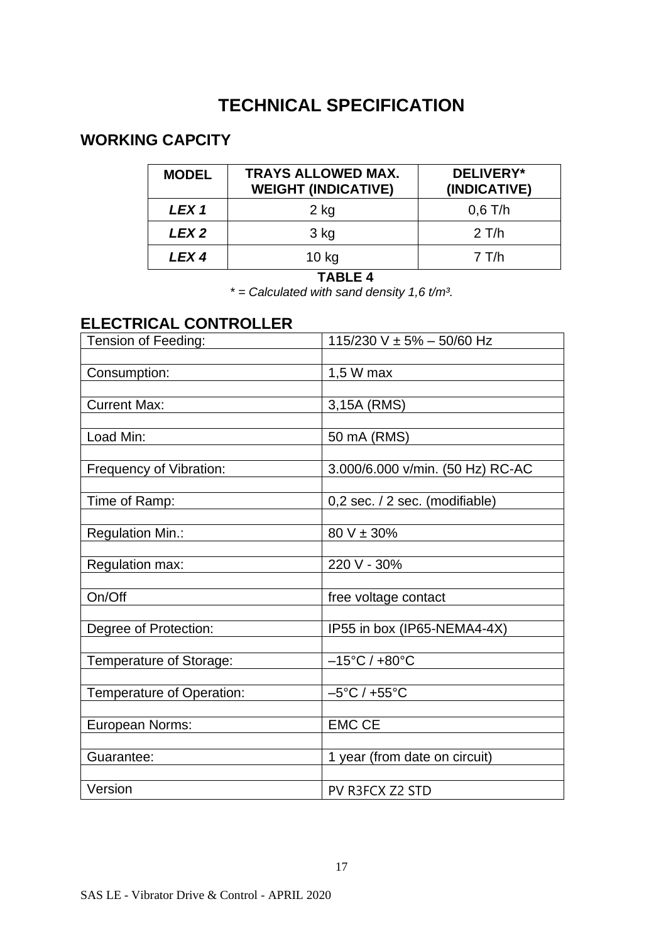## **TECHNICAL SPECIFICATION**

#### **WORKING CAPCITY**

| <b>MODEL</b>     | <b>TRAYS ALLOWED MAX.</b><br><b>WEIGHT (INDICATIVE)</b> | DELIVERY*<br>(INDICATIVE) |
|------------------|---------------------------------------------------------|---------------------------|
| LEX <sub>1</sub> | $2$ kg                                                  | $0,6$ T/h                 |
| LEX <sub>2</sub> | 3 kg                                                    | $2$ T/h                   |
| LEX <sub>4</sub> | $10$ kg                                                 | $7$ T/h                   |

#### **TABLE 4**

*\* = Calculated with sand density 1,6 t/m³.*

#### **ELECTRICAL CONTROLLER**

| Tension of Feeding:       | 115/230 V $\pm$ 5% - 50/60 Hz      |
|---------------------------|------------------------------------|
|                           |                                    |
| Consumption:              | 1,5 W max                          |
|                           |                                    |
| <b>Current Max:</b>       | 3,15A (RMS)                        |
|                           |                                    |
| Load Min:                 | 50 mA (RMS)                        |
|                           |                                    |
| Frequency of Vibration:   | 3.000/6.000 v/min. (50 Hz) RC-AC   |
|                           |                                    |
| Time of Ramp:             | 0,2 sec. / 2 sec. (modifiable)     |
|                           |                                    |
| Regulation Min.:          | $80 V \pm 30\%$                    |
|                           | 220 V - 30%                        |
| Regulation max:           |                                    |
| On/Off                    | free voltage contact               |
|                           |                                    |
| Degree of Protection:     | IP55 in box (IP65-NEMA4-4X)        |
|                           |                                    |
| Temperature of Storage:   | $-15^{\circ}$ C / +80 $^{\circ}$ C |
|                           |                                    |
| Temperature of Operation: | $-5^{\circ}$ C / +55 $^{\circ}$ C  |
|                           |                                    |
| European Norms:           | <b>EMC CE</b>                      |
|                           |                                    |
| Guarantee:                | 1 year (from date on circuit)      |
|                           |                                    |
| Version                   | PV R3FCX Z2 STD                    |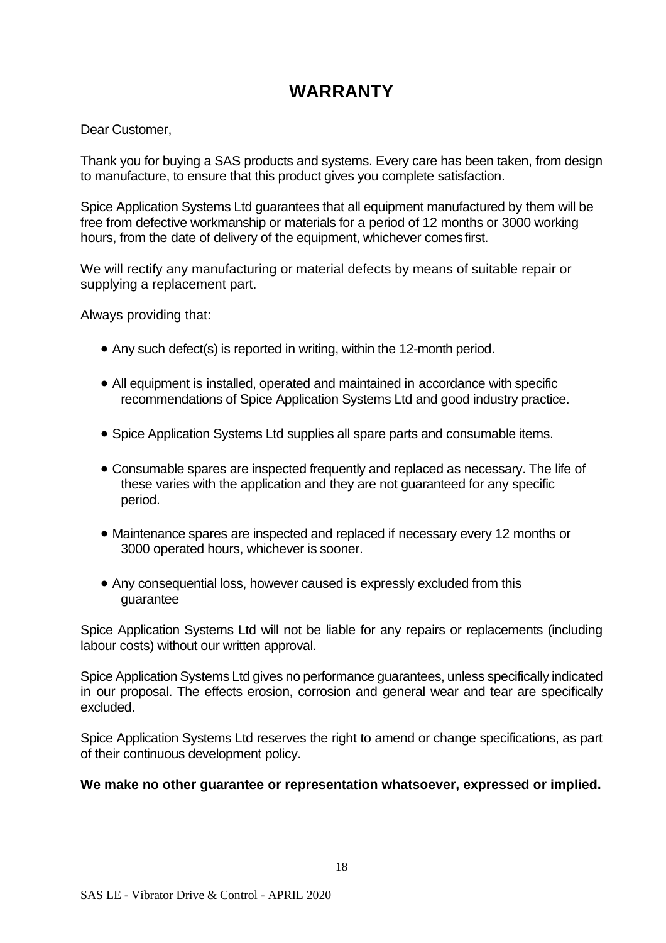## **WARRANTY**

Dear Customer,

Thank you for buying a SAS products and systems. Every care has been taken, from design to manufacture, to ensure that this product gives you complete satisfaction.

Spice Application Systems Ltd guarantees that all equipment manufactured by them will be free from defective workmanship or materials for a period of 12 months or 3000 working hours, from the date of delivery of the equipment, whichever comesfirst.

We will rectify any manufacturing or material defects by means of suitable repair or supplying a replacement part.

Always providing that:

- Any such defect(s) is reported in writing, within the 12-month period.
- All equipment is installed, operated and maintained in accordance with specific recommendations of Spice Application Systems Ltd and good industry practice.
- Spice Application Systems Ltd supplies all spare parts and consumable items.
- Consumable spares are inspected frequently and replaced as necessary. The life of these varies with the application and they are not guaranteed for any specific period.
- Maintenance spares are inspected and replaced if necessary every 12 months or 3000 operated hours, whichever is sooner.
- Any consequential loss, however caused is expressly excluded from this guarantee

Spice Application Systems Ltd will not be liable for any repairs or replacements (including labour costs) without our written approval.

Spice Application Systems Ltd gives no performance guarantees, unless specifically indicated in our proposal. The effects erosion, corrosion and general wear and tear are specifically excluded.

Spice Application Systems Ltd reserves the right to amend or change specifications, as part of their continuous development policy.

#### **We make no other guarantee or representation whatsoever, expressed or implied.**